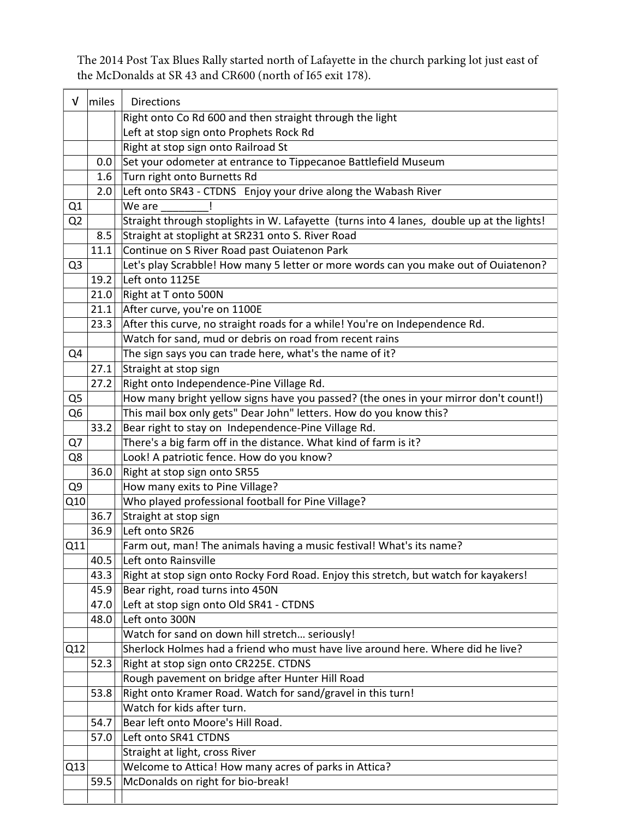The 2014 Post Tax Blues Rally started north of Lafayette in the church parking lot just east of the McDonalds at SR 43 and CR600 (north of I65 exit 178).